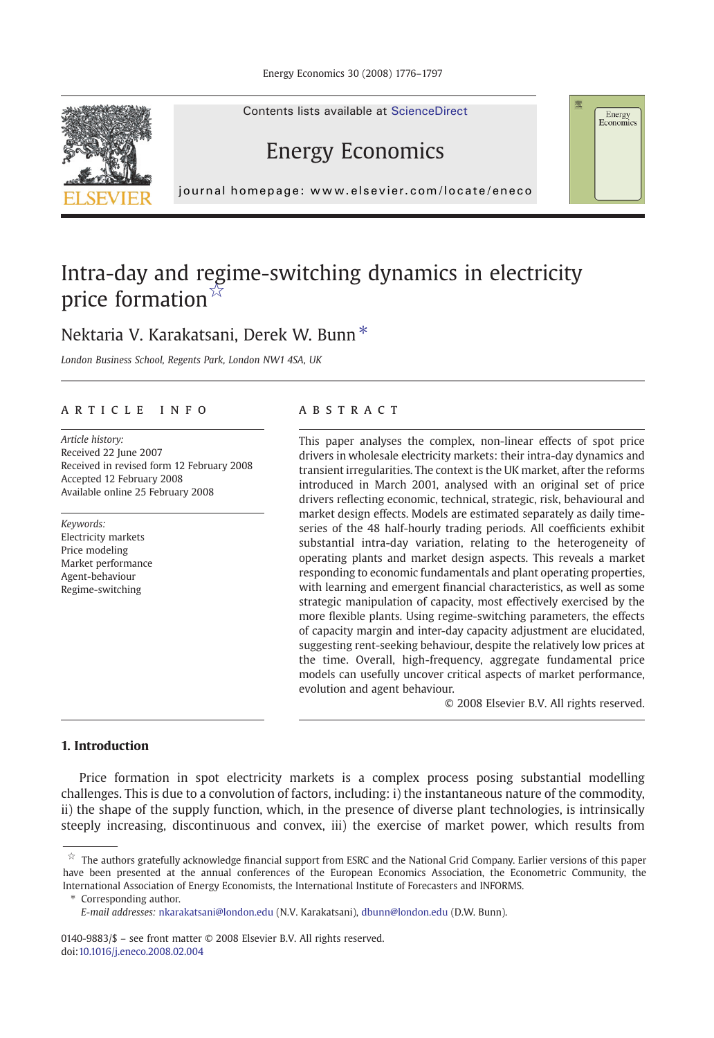



## Energy Economics

journal homepage: www.elsevier.com/locate/eneco

## Intra-day and regime-switching dynamics in electricity price formation<sup>☆</sup>

## Nektaria V. Karakatsani, Derek W. Bunn<sup>\*</sup>

London Business School, Regents Park, London NW1 4SA, UK

#### article info abstract

Article history: Received 22 June 2007 Received in revised form 12 February 2008 Accepted 12 February 2008 Available online 25 February 2008

Keywords: Electricity markets Price modeling Market performance Agent-behaviour Regime-switching

This paper analyses the complex, non-linear effects of spot price drivers in wholesale electricity markets: their intra-day dynamics and transient irregularities. The context is the UK market, after the reforms introduced in March 2001, analysed with an original set of price drivers reflecting economic, technical, strategic, risk, behavioural and market design effects. Models are estimated separately as daily timeseries of the 48 half-hourly trading periods. All coefficients exhibit substantial intra-day variation, relating to the heterogeneity of operating plants and market design aspects. This reveals a market responding to economic fundamentals and plant operating properties, with learning and emergent financial characteristics, as well as some strategic manipulation of capacity, most effectively exercised by the more flexible plants. Using regime-switching parameters, the effects of capacity margin and inter-day capacity adjustment are elucidated, suggesting rent-seeking behaviour, despite the relatively low prices at the time. Overall, high-frequency, aggregate fundamental price models can usefully uncover critical aspects of market performance, evolution and agent behaviour.

© 2008 Elsevier B.V. All rights reserved.

Energy Economics

### 1. Introduction

Price formation in spot electricity markets is a complex process posing substantial modelling challenges. This is due to a convolution of factors, including: i) the instantaneous nature of the commodity, ii) the shape of the supply function, which, in the presence of diverse plant technologies, is intrinsically steeply increasing, discontinuous and convex, iii) the exercise of market power, which results from

Corresponding author.

 $\overline{x}$  The authors gratefully acknowledge financial support from ESRC and the National Grid Company. Earlier versions of this paper have been presented at the annual conferences of the European Economics Association, the Econometric Community, the International Association of Energy Economists, the International Institute of Forecasters and INFORMS.

E-mail addresses: [nkarakatsani@london.edu](mailto:nkarakatsani@london.edu) (N.V. Karakatsani), [dbunn@london.edu](mailto:dbunn@london.edu) (D.W. Bunn).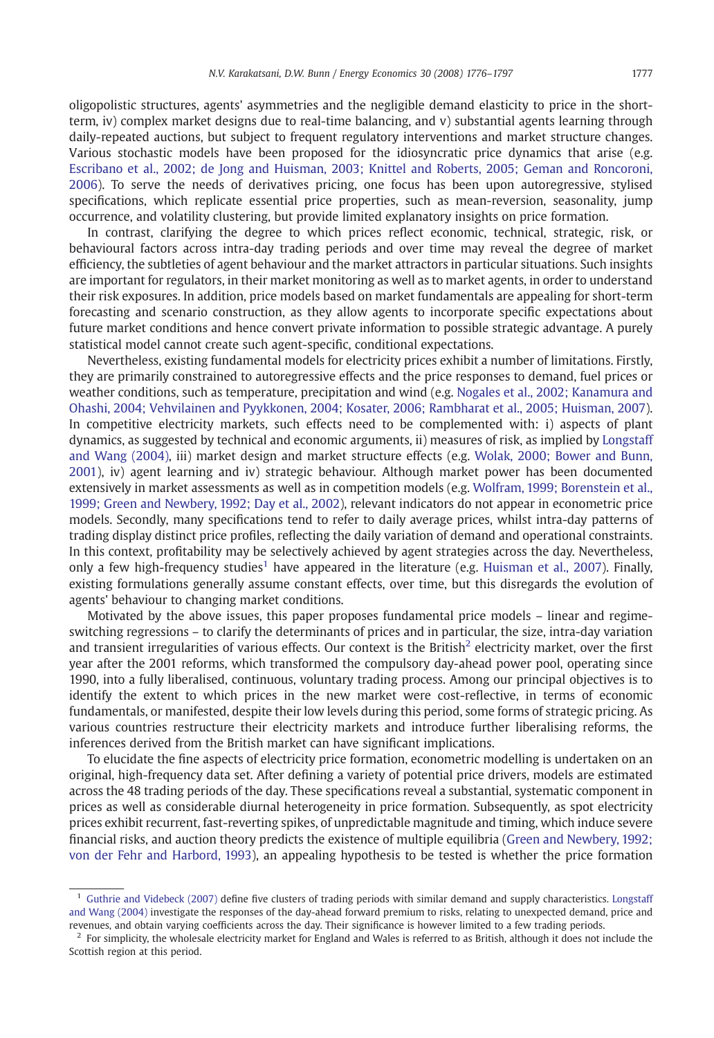oligopolistic structures, agents' asymmetries and the negligible demand elasticity to price in the shortterm, iv) complex market designs due to real-time balancing, and v) substantial agents learning through daily-repeated auctions, but subject to frequent regulatory interventions and market structure changes. Various stochastic models have been proposed for the idiosyncratic price dynamics that arise (e.g. [Escribano et al., 2002; de Jong and Huisman, 2003; Knittel and Roberts, 2005; Geman and Roncoroni,](#page--1-0) [2006\)](#page--1-0). To serve the needs of derivatives pricing, one focus has been upon autoregressive, stylised specifications, which replicate essential price properties, such as mean-reversion, seasonality, jump occurrence, and volatility clustering, but provide limited explanatory insights on price formation.

In contrast, clarifying the degree to which prices reflect economic, technical, strategic, risk, or behavioural factors across intra-day trading periods and over time may reveal the degree of market efficiency, the subtleties of agent behaviour and the market attractors in particular situations. Such insights are important for regulators, in their market monitoring as well as to market agents, in order to understand their risk exposures. In addition, price models based on market fundamentals are appealing for short-term forecasting and scenario construction, as they allow agents to incorporate specific expectations about future market conditions and hence convert private information to possible strategic advantage. A purely statistical model cannot create such agent-specific, conditional expectations.

Nevertheless, existing fundamental models for electricity prices exhibit a number of limitations. Firstly, they are primarily constrained to autoregressive effects and the price responses to demand, fuel prices or weather conditions, such as temperature, precipitation and wind (e.g. [Nogales et al., 2002; Kanamura and](#page--1-0) [Ohashi, 2004; Vehvilainen and Pyykkonen, 2004; Kosater, 2006; Rambharat et al., 2005; Huisman, 2007](#page--1-0)). In competitive electricity markets, such effects need to be complemented with: i) aspects of plant dynamics, as suggested by technical and economic arguments, ii) measures of risk, as implied by [Longstaff](#page--1-0) [and Wang \(2004\),](#page--1-0) iii) market design and market structure effects (e.g. [Wolak, 2000; Bower and Bunn,](#page--1-0) [2001\)](#page--1-0), iv) agent learning and iv) strategic behaviour. Although market power has been documented extensively in market assessments as well as in competition models (e.g. [Wolfram, 1999; Borenstein et al.,](#page--1-0) [1999; Green and Newbery, 1992; Day et al., 2002\)](#page--1-0), relevant indicators do not appear in econometric price models. Secondly, many specifications tend to refer to daily average prices, whilst intra-day patterns of trading display distinct price profiles, reflecting the daily variation of demand and operational constraints. In this context, profitability may be selectively achieved by agent strategies across the day. Nevertheless, only a few high-frequency studies<sup>1</sup> have appeared in the literature (e.g. [Huisman et al., 2007](#page--1-0)). Finally, existing formulations generally assume constant effects, over time, but this disregards the evolution of agents' behaviour to changing market conditions.

Motivated by the above issues, this paper proposes fundamental price models – linear and regimeswitching regressions – to clarify the determinants of prices and in particular, the size, intra-day variation and transient irregularities of various effects. Our context is the British $^2$  electricity market, over the first year after the 2001 reforms, which transformed the compulsory day-ahead power pool, operating since 1990, into a fully liberalised, continuous, voluntary trading process. Among our principal objectives is to identify the extent to which prices in the new market were cost-reflective, in terms of economic fundamentals, or manifested, despite their low levels during this period, some forms of strategic pricing. As various countries restructure their electricity markets and introduce further liberalising reforms, the inferences derived from the British market can have significant implications.

To elucidate the fine aspects of electricity price formation, econometric modelling is undertaken on an original, high-frequency data set. After defining a variety of potential price drivers, models are estimated across the 48 trading periods of the day. These specifications reveal a substantial, systematic component in prices as well as considerable diurnal heterogeneity in price formation. Subsequently, as spot electricity prices exhibit recurrent, fast-reverting spikes, of unpredictable magnitude and timing, which induce severe financial risks, and auction theory predicts the existence of multiple equilibria [\(Green and Newbery, 1992;](#page--1-0) [von der Fehr and Harbord, 1993\)](#page--1-0), an appealing hypothesis to be tested is whether the price formation

<sup>&</sup>lt;sup>1</sup> [Guthrie and Videbeck \(2007\)](#page--1-0) define five clusters of trading periods with similar demand and supply characteristics. [Longstaff](#page--1-0) [and Wang \(2004\)](#page--1-0) investigate the responses of the day-ahead forward premium to risks, relating to unexpected demand, price and revenues, and obtain varying coefficients across the day. Their significance is however limited to a few trading periods.

 $<sup>2</sup>$  For simplicity, the wholesale electricity market for England and Wales is referred to as British, although it does not include the</sup> Scottish region at this period.